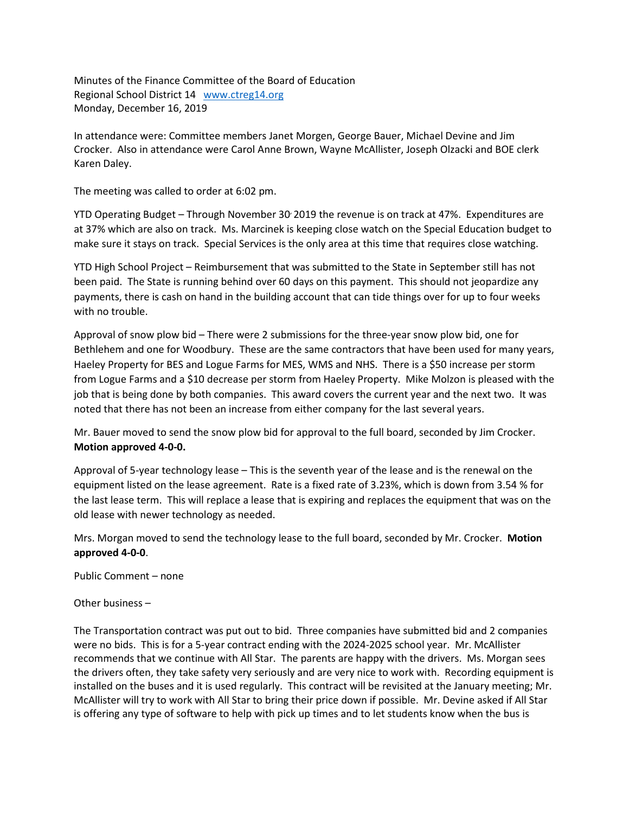Minutes of the Finance Committee of the Board of Education Regional School District 14 [www.ctreg14.org](http://www.ctreg14.org/) Monday, December 16, 2019

In attendance were: Committee members Janet Morgen, George Bauer, Michael Devine and Jim Crocker. Also in attendance were Carol Anne Brown, Wayne McAllister, Joseph Olzacki and BOE clerk Karen Daley.

The meeting was called to order at 6:02 pm.

YTD Operating Budget – Through November 30<sup>,</sup> 2019 the revenue is on track at 47%. Expenditures are at 37% which are also on track. Ms. Marcinek is keeping close watch on the Special Education budget to make sure it stays on track. Special Services is the only area at this time that requires close watching.

YTD High School Project – Reimbursement that was submitted to the State in September still has not been paid. The State is running behind over 60 days on this payment. This should not jeopardize any payments, there is cash on hand in the building account that can tide things over for up to four weeks with no trouble.

Approval of snow plow bid – There were 2 submissions for the three-year snow plow bid, one for Bethlehem and one for Woodbury. These are the same contractors that have been used for many years, Haeley Property for BES and Logue Farms for MES, WMS and NHS. There is a \$50 increase per storm from Logue Farms and a \$10 decrease per storm from Haeley Property. Mike Molzon is pleased with the job that is being done by both companies. This award covers the current year and the next two. It was noted that there has not been an increase from either company for the last several years.

Mr. Bauer moved to send the snow plow bid for approval to the full board, seconded by Jim Crocker. **Motion approved 4-0-0.**

Approval of 5-year technology lease – This is the seventh year of the lease and is the renewal on the equipment listed on the lease agreement. Rate is a fixed rate of 3.23%, which is down from 3.54 % for the last lease term. This will replace a lease that is expiring and replaces the equipment that was on the old lease with newer technology as needed.

Mrs. Morgan moved to send the technology lease to the full board, seconded by Mr. Crocker. **Motion approved 4-0-0**.

Public Comment – none

Other business –

The Transportation contract was put out to bid. Three companies have submitted bid and 2 companies were no bids. This is for a 5-year contract ending with the 2024-2025 school year. Mr. McAllister recommends that we continue with All Star. The parents are happy with the drivers. Ms. Morgan sees the drivers often, they take safety very seriously and are very nice to work with. Recording equipment is installed on the buses and it is used regularly. This contract will be revisited at the January meeting; Mr. McAllister will try to work with All Star to bring their price down if possible. Mr. Devine asked if All Star is offering any type of software to help with pick up times and to let students know when the bus is